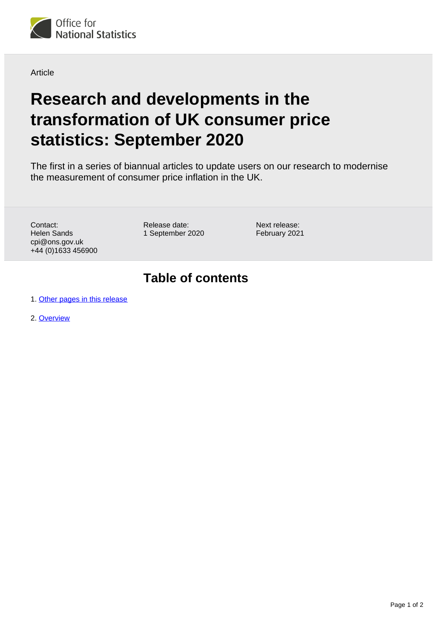

Article

## **Research and developments in the transformation of UK consumer price statistics: September 2020**

The first in a series of biannual articles to update users on our research to modernise the measurement of consumer price inflation in the UK.

Contact: Helen Sands cpi@ons.gov.uk +44 (0)1633 456900 Release date: 1 September 2020 Next release: February 2021

## **Table of contents**

1. [Other pages in this release](#page-1-0)

2. [Overview](#page-1-1)